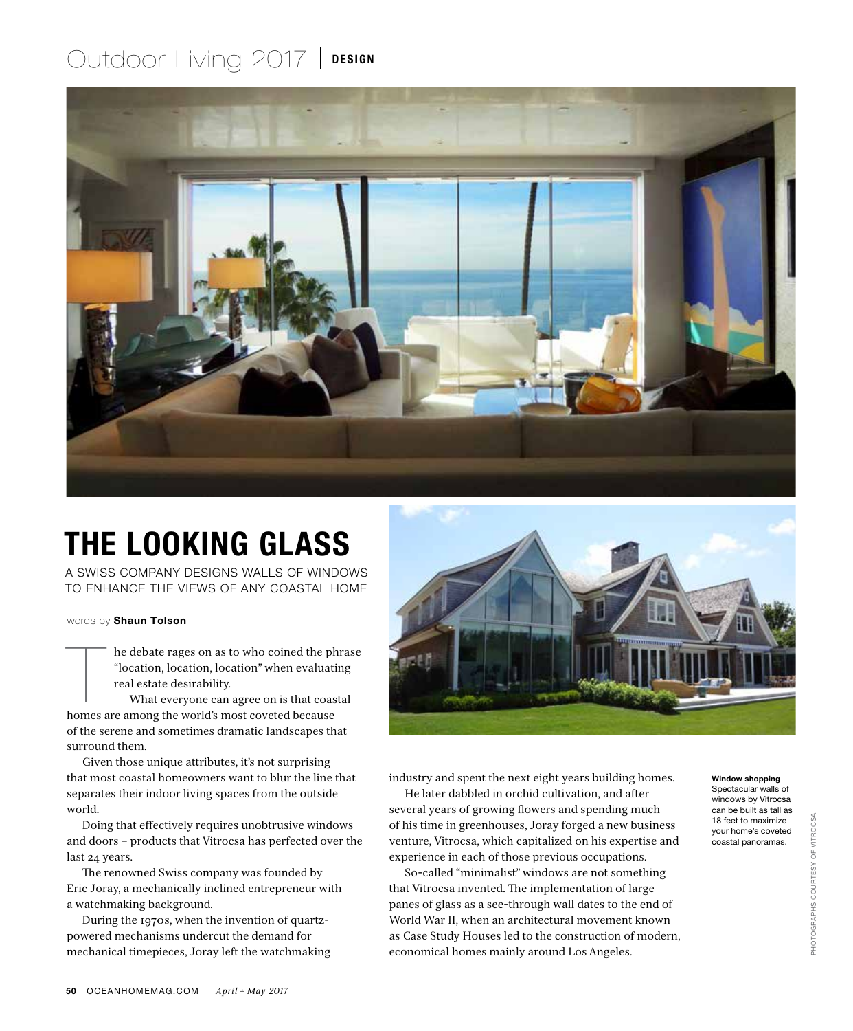## Outdoor Living 2017 | DESIGN



## THE LOOKING GLASS

A SWISS COMPANY DESIGNS WALLS OF WINDOWS TO ENHANCE THE VIEWS OF ANY COASTAL HOME

words by Shaun Tolson

he debate rages on as to who coined the ph<br>
"location, location, location" when evaluativeal estate desirability.<br>
What everyone can agree on is that coas<br>
homes are among the world's most coveted because he debate rages on as to who coined the phrase "location, location, location" when evaluating real estate desirability.

What everyone can agree on is that coastal of the serene and sometimes dramatic landscapes that surround them.

Given those unique attributes, it's not surprising that most coastal homeowners want to blur the line that separates their indoor living spaces from the outside world.

Doing that effectively requires unobtrusive windows and doors – products that Vitrocsa has perfected over the last 24 years.

The renowned Swiss company was founded by Eric Joray, a mechanically inclined entrepreneur with a watchmaking background.

During the 1970s, when the invention of quartzpowered mechanisms undercut the demand for mechanical timepieces, Joray left the watchmaking



industry and spent the next eight years building homes.

He later dabbled in orchid cultivation, and after several years of growing flowers and spending much of his time in greenhouses, Joray forged a new business venture, Vitrocsa, which capitalized on his expertise and experience in each of those previous occupations.

So-called "minimalist" windows are not something that Vitrocsa invented. The implementation of large panes of glass as a see-through wall dates to the end of World War II, when an architectural movement known as Case Study Houses led to the construction of modern, economical homes mainly around Los Angeles.

Window shopping Spectacular walls of windows by Vitrocsa can be built as tall as 18 feet to maximize your home's coveted coastal panoramas.